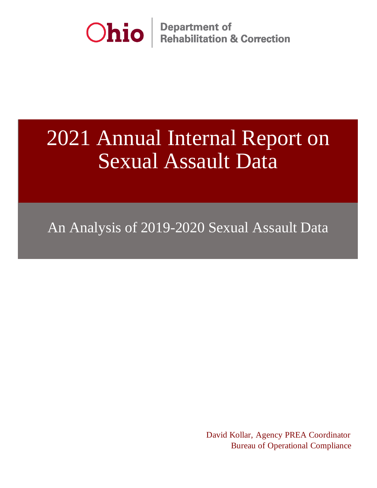

**Department of<br>Rehabilitation & Correction** 

# 2021 Annual Internal Report on Sexual Assault Data

An Analysis of 2019-2020 Sexual Assault Data

 David Kollar, Agency PREA Coordinator Bureau of Operational Compliance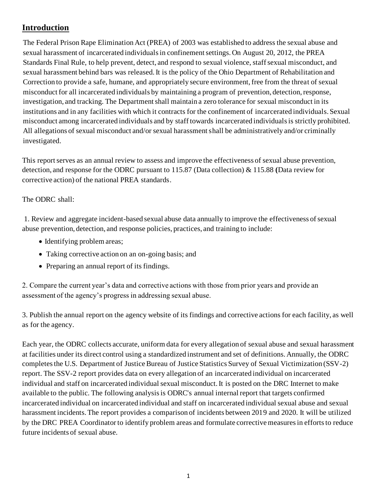## **Introduction**

The Federal Prison Rape Elimination Act (PREA) of 2003 was established to address the sexual abuse and sexual harassment of incarcerated individuals in confinement settings. On August 20, 2012, the PREA Standards Final Rule, to help prevent, detect, and respond to sexual violence, staff sexual misconduct, and sexual harassment behind bars was released. It is the policy of the Ohio Department of Rehabilitation and Correction to provide a safe, humane, and appropriately secure environment, free from the threat of sexual misconduct for all incarcerated individuals by maintaining a program of prevention, detection, response, investigation, and tracking. The Department shall maintain a zero tolerance for sexual misconduct in its institutions and in any facilities with which it contracts for the confinement of incarcerated individuals. Sexual misconduct among incarcerated individuals and by staff towards incarcerated individuals is strictly prohibited. All allegations of sexual misconduct and/or sexual harassment shall be administratively and/or criminally investigated.

This report serves as an annual review to assess and improve the effectiveness of sexual abuse prevention, detection, and response for the ODRC pursuant to 115.87 (Data collection) & 115.88 **(**Data review for corrective action) of the national PREA standards.

## The ODRC shall:

1. Review and aggregate incident-based sexual abuse data annually to improve the effectiveness of sexual abuse prevention, detection, and response policies, practices, and training to include:

- Identifying problem areas;
- Taking corrective action on an on-going basis; and
- Preparing an annual report of its findings.

2. Compare the current year's data and corrective actions with those from prior years and provide an assessment of the agency's progress in addressing sexual abuse.

3. Publish the annual report on the agency website of its findings and corrective actions for each facility, as well as for the agency.

Each year, the ODRC collects accurate, uniform data for every allegation of sexual abuse and sexual harassment at facilities under its direct control using a standardized instrument and set of definitions. Annually, the ODRC completes the U.S. Department of Justice Bureau of Justice Statistics Survey of Sexual Victimization (SSV-2) report. The SSV-2 report provides data on every allegation of an incarcerated individual on incarcerated individual and staff on incarcerated individual sexual misconduct. It is posted on the DRC Internet to make available to the public. The following analysis is ODRC's annual internal report that targets confirmed incarcerated individual on incarcerated individual and staff on incarcerated individual sexual abuse and sexual harassment incidents. The report provides a comparison of incidents between 2019 and 2020. It will be utilized by the DRC PREA Coordinator to identify problem areas and formulate corrective measures in efforts to reduce future incidents of sexual abuse.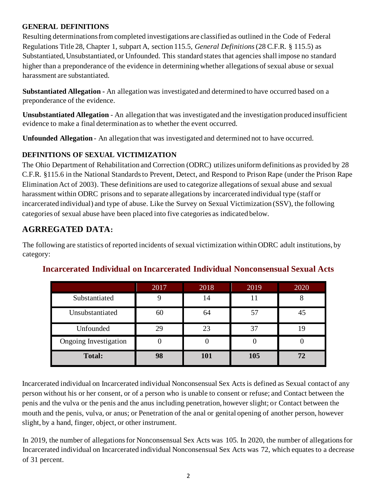## **GENERAL DEFINITIONS**

Resulting determinations from completed investigations are classified as outlined in the Code of Federal Regulations Title 28, Chapter 1, subpart A, section 115.5, *General Definitions* (28 C.F.R. § 115.5) as Substantiated, Unsubstantiated, or Unfounded. This standard states that agencies shall impose no standard higher than a preponderance of the evidence in determining whether allegations of sexual abuse or sexual harassment are substantiated.

**Substantiated Allegation -** An allegation was investigated and determined to have occurred based on a preponderance of the evidence.

**Unsubstantiated Allegation** - An allegation that was investigated and the investigation produced insufficient evidence to make a final determination as to whether the event occurred.

**Unfounded Allegation** - An allegation that was investigated and determined not to have occurred.

## **DEFINITIONS OF SEXUAL VICTIMIZATION**

The Ohio Department of Rehabilitation and Correction (ODRC) utilizes uniform definitions as provided by 28 C.F.R. §115.6 in the National Standards to Prevent, Detect, and Respond to Prison Rape (under the Prison Rape Elimination Act of 2003). These definitions are used to categorize allegations of sexual abuse and sexual harassment within ODRC prisons and to separate allegations by incarcerated individual type (staff or incarcerated individual) and type of abuse. Like the Survey on Sexual Victimization (SSV), the following categories of sexual abuse have been placed into five categories as indicated below.

## **AGRREGATED DATA:**

The following are statistics of reported incidents of sexual victimization within ODRC adult institutions, by category:

|                       | 2017 | 2018 | 2019 | 2020 |
|-----------------------|------|------|------|------|
| Substantiated         |      | 14   |      |      |
| Unsubstantiated       | 60   | 64   |      | 45   |
| Unfounded             | 29   | 23   |      | 19   |
| Ongoing Investigation |      |      |      |      |
| <b>Total:</b>         | 98   | 101  | 105  | 72   |

## **Incarcerated Individual on Incarcerated Individual Nonconsensual Sexual Acts**

Incarcerated individual on Incarcerated individual Nonconsensual Sex Acts is defined as Sexual contact of any person without his or her consent, or of a person who is unable to consent or refuse; and Contact between the penis and the vulva or the penis and the anus including penetration, however slight; or Contact between the mouth and the penis, vulva, or anus; or Penetration of the anal or genital opening of another person, however slight, by a hand, finger, object, or other instrument.

In 2019, the number of allegations for Nonconsensual Sex Acts was 105. In 2020, the number of allegations for Incarcerated individual on Incarcerated individual Nonconsensual Sex Acts was 72, which equates to a decrease of 31 percent.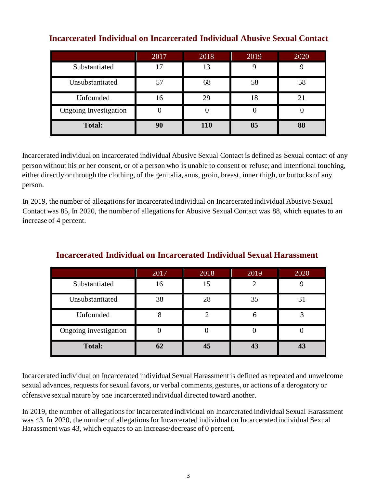|                       | 2017 | 2018 | 2019 | 2020 |
|-----------------------|------|------|------|------|
| Substantiated         | 17   | 13   |      |      |
| Unsubstantiated       |      | 68   | 58   | 58   |
| Unfounded             | 16   | 29   | 18   | 21   |
| Ongoing Investigation |      |      |      |      |
| <b>Total:</b>         | 90   | 110  | 85   | 88   |

## **Incarcerated Individual on Incarcerated Individual Abusive Sexual Contact**

Incarcerated individual on Incarcerated individual Abusive Sexual Contact is defined as Sexual contact of any person without his or her consent, or of a person who is unable to consent or refuse; and Intentional touching, either directly or through the clothing, of the genitalia, anus, groin, breast, inner thigh, or buttocks of any person.

In 2019, the number of allegations for Incarcerated individual on Incarcerated individual Abusive Sexual Contact was 85, In 2020, the number of allegations for Abusive Sexual Contact was 88, which equates to an increase of 4 percent.

|                       | 2017 | 2018 | 2019 | 2020 |
|-----------------------|------|------|------|------|
| Substantiated         | 16   | 15   |      |      |
| Unsubstantiated       | 38   | 28   | 35   | 31   |
| Unfounded             |      |      |      |      |
| Ongoing investigation |      |      |      |      |
| <b>Total:</b>         | 62   | 45   |      |      |

## **Incarcerated Individual on Incarcerated Individual Sexual Harassment**

Incarcerated individual on Incarcerated individual Sexual Harassment is defined as repeated and unwelcome sexual advances, requests for sexual favors, or verbal comments, gestures, or actions of a derogatory or offensive sexual nature by one incarcerated individual directed toward another.

In 2019, the number of allegations for Incarcerated individual on Incarcerated individual Sexual Harassment was 43. In 2020, the number of allegations for Incarcerated individual on Incarcerated individual Sexual Harassment was 43, which equates to an increase/decrease of 0 percent.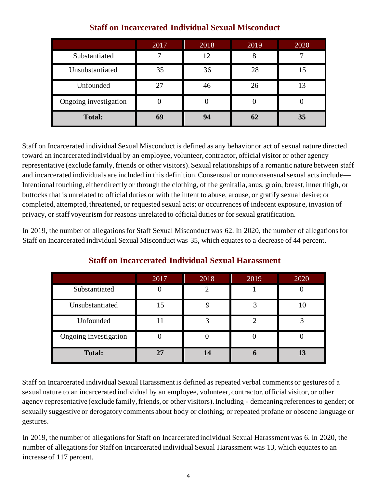|                       | 2017 | 2018 | 2019 | 2020 |
|-----------------------|------|------|------|------|
| Substantiated         |      | 12   |      |      |
| Unsubstantiated       | 35   | 36   | 28   | 15   |
| Unfounded             | 27   | 46   | 26   | 13   |
| Ongoing investigation |      |      |      |      |
| <b>Total:</b>         | 69   | 94   | 62   | 35   |

## **Staff on Incarcerated Individual Sexual Misconduct**

Staff on Incarcerated individual Sexual Misconduct is defined as any behavior or act of sexual nature directed toward an incarcerated individual by an employee, volunteer, contractor, official visitor or other agency representative (exclude family, friends or other visitors). Sexual relationships of a romantic nature between staff and incarcerated individuals are included in this definition. Consensual or nonconsensual sexual acts include— Intentional touching, either directly or through the clothing, of the genitalia, anus, groin, breast, inner thigh, or buttocks that is unrelated to official duties or with the intent to abuse, arouse, or gratify sexual desire; or completed, attempted, threatened, or requested sexual acts; or occurrences of indecent exposure, invasion of privacy, or staff voyeurism for reasons unrelated to official duties or for sexual gratification.

In 2019, the number of allegations for Staff Sexual Misconduct was 62. In 2020, the number of allegations for Staff on Incarcerated individual Sexual Misconduct was 35, which equates to a decrease of 44 percent.

|                       | 2017 | 2018 | 2019 | 2020 |
|-----------------------|------|------|------|------|
| Substantiated         |      |      |      |      |
| Unsubstantiated       | 15   |      |      |      |
| Unfounded             |      |      |      |      |
| Ongoing investigation |      |      |      |      |
| <b>Total:</b>         |      | 14   |      | 13   |

## **Staff on Incarcerated Individual Sexual Harassment**

Staff on Incarcerated individual Sexual Harassment is defined as repeated verbal comments or gestures of a sexual nature to an incarcerated individual by an employee, volunteer, contractor, official visitor, or other agency representative (exclude family, friends, or other visitors). Including - demeaning references to gender; or sexually suggestive or derogatory comments about body or clothing; or repeated profane or obscene language or gestures.

In 2019, the number of allegations for Staff on Incarcerated individual Sexual Harassment was 6. In 2020, the number of allegations for Staff on Incarcerated individual Sexual Harassment was 13, which equates to an increase of 117 percent.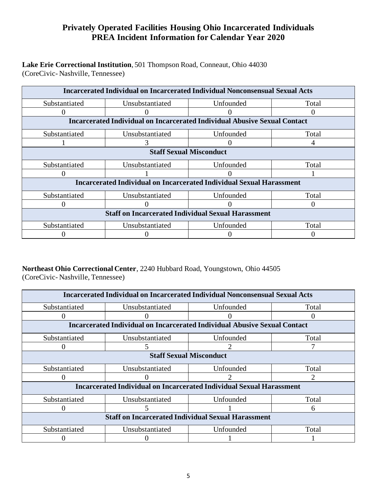## **Privately Operated Facilities Housing Ohio Incarcerated Individuals PREA Incident Information for Calendar Year 2020**

#### **Lake Erie Correctional Institution**, 501 Thompson Road, Conneaut, Ohio 44030 (CoreCivic- Nashville, Tennessee)

| <b>Incarcerated Individual on Incarcerated Individual Nonconsensual Sexual Acts</b> |                                                                                  |           |       |  |  |  |
|-------------------------------------------------------------------------------------|----------------------------------------------------------------------------------|-----------|-------|--|--|--|
| Substantiated                                                                       | Unsubstantiated                                                                  | Unfounded | Total |  |  |  |
|                                                                                     |                                                                                  |           |       |  |  |  |
|                                                                                     | <b>Incarcerated Individual on Incarcerated Individual Abusive Sexual Contact</b> |           |       |  |  |  |
| Substantiated                                                                       | Unsubstantiated                                                                  | Unfounded | Total |  |  |  |
|                                                                                     |                                                                                  |           |       |  |  |  |
| <b>Staff Sexual Misconduct</b>                                                      |                                                                                  |           |       |  |  |  |
| Substantiated                                                                       | Unsubstantiated                                                                  | Unfounded | Total |  |  |  |
|                                                                                     |                                                                                  |           |       |  |  |  |
|                                                                                     | <b>Incarcerated Individual on Incarcerated Individual Sexual Harassment</b>      |           |       |  |  |  |
| Substantiated                                                                       | Unsubstantiated                                                                  | Unfounded | Total |  |  |  |
|                                                                                     |                                                                                  |           |       |  |  |  |
| <b>Staff on Incarcerated Individual Sexual Harassment</b>                           |                                                                                  |           |       |  |  |  |
| Substantiated                                                                       | Unsubstantiated                                                                  | Unfounded | Total |  |  |  |
|                                                                                     |                                                                                  |           |       |  |  |  |

## **Northeast Ohio Correctional Center**, 2240 Hubbard Road, Youngstown, Ohio 44505

(CoreCivic- Nashville, Tennessee)

| <b>Incarcerated Individual on Incarcerated Individual Nonconsensual Sexual Acts</b> |                                                                                  |           |       |  |  |  |
|-------------------------------------------------------------------------------------|----------------------------------------------------------------------------------|-----------|-------|--|--|--|
| Substantiated                                                                       | Unsubstantiated                                                                  | Unfounded | Total |  |  |  |
|                                                                                     |                                                                                  |           |       |  |  |  |
|                                                                                     | <b>Incarcerated Individual on Incarcerated Individual Abusive Sexual Contact</b> |           |       |  |  |  |
| Substantiated                                                                       | Unsubstantiated                                                                  | Unfounded | Total |  |  |  |
|                                                                                     | ን                                                                                |           |       |  |  |  |
|                                                                                     | <b>Staff Sexual Misconduct</b>                                                   |           |       |  |  |  |
| Substantiated                                                                       | Unsubstantiated                                                                  | Unfounded | Total |  |  |  |
|                                                                                     |                                                                                  |           |       |  |  |  |
|                                                                                     | <b>Incarcerated Individual on Incarcerated Individual Sexual Harassment</b>      |           |       |  |  |  |
| Substantiated                                                                       | Unsubstantiated                                                                  | Unfounded | Total |  |  |  |
|                                                                                     |                                                                                  |           | 6     |  |  |  |
| <b>Staff on Incarcerated Individual Sexual Harassment</b>                           |                                                                                  |           |       |  |  |  |
| Substantiated                                                                       | Unsubstantiated                                                                  | Unfounded | Total |  |  |  |
|                                                                                     |                                                                                  |           |       |  |  |  |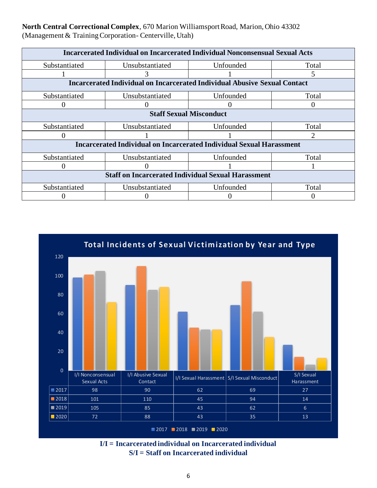**North Central Correctional Complex**, 670 Marion Williamsport Road, Marion, Ohio 43302 (Management & Training Corporation- Centerville, Utah)

| <b>Incarcerated Individual on Incarcerated Individual Nonconsensual Sexual Acts</b> |                                                                                  |           |       |  |  |
|-------------------------------------------------------------------------------------|----------------------------------------------------------------------------------|-----------|-------|--|--|
| Substantiated                                                                       | Unsubstantiated                                                                  | Unfounded | Total |  |  |
|                                                                                     |                                                                                  |           |       |  |  |
|                                                                                     | <b>Incarcerated Individual on Incarcerated Individual Abusive Sexual Contact</b> |           |       |  |  |
| Substantiated                                                                       | Unsubstantiated                                                                  | Unfounded | Total |  |  |
|                                                                                     |                                                                                  |           |       |  |  |
|                                                                                     | <b>Staff Sexual Misconduct</b>                                                   |           |       |  |  |
| Substantiated                                                                       | Unsubstantiated                                                                  | Unfounded | Total |  |  |
|                                                                                     |                                                                                  |           |       |  |  |
|                                                                                     | <b>Incarcerated Individual on Incarcerated Individual Sexual Harassment</b>      |           |       |  |  |
| Substantiated                                                                       | Unsubstantiated                                                                  | Unfounded | Total |  |  |
|                                                                                     |                                                                                  |           |       |  |  |
| <b>Staff on Incarcerated Individual Sexual Harassment</b>                           |                                                                                  |           |       |  |  |
| Substantiated                                                                       | Unsubstantiated                                                                  | Unfounded | Total |  |  |
|                                                                                     |                                                                                  |           |       |  |  |



**I/I = Incarcerated individual on Incarcerated individual S/I = Staff on Incarcerated individual**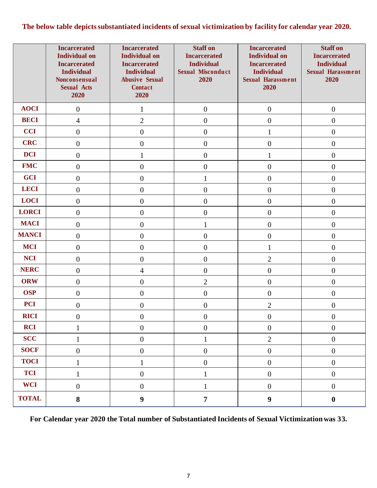## **The below table depicts substantiated incidents of sexual victimization by facility for calendar year 2020.**

|              | <b>Incarcerated</b><br><b>Individual on</b><br><b>Incarcerated</b><br><b>Individual</b><br>Nonconsensual<br><b>Sexual Acts</b><br>2020 | <b>Incarcerated</b><br><b>Individual on</b><br><b>Incarcerated</b><br><b>Individual</b><br><b>Abusive Sexual</b><br><b>Contact</b><br>2020 | <b>Staff on</b><br><b>Incarcerated</b><br><b>Individual</b><br>Sexual Misconduct<br>2020 | <b>Incarcerated</b><br><b>Individual on</b><br><b>Incarcerated</b><br><b>Individual</b><br><b>Sexual Harassment</b><br>2020 | <b>Staff on</b><br><b>Incarcerated</b><br><b>Individual</b><br><b>Sexual Harassment</b><br>2020 |
|--------------|----------------------------------------------------------------------------------------------------------------------------------------|--------------------------------------------------------------------------------------------------------------------------------------------|------------------------------------------------------------------------------------------|-----------------------------------------------------------------------------------------------------------------------------|-------------------------------------------------------------------------------------------------|
| <b>AOCI</b>  | $\boldsymbol{0}$                                                                                                                       | 1                                                                                                                                          | $\boldsymbol{0}$                                                                         | $\boldsymbol{0}$                                                                                                            | $\boldsymbol{0}$                                                                                |
| <b>BECI</b>  | $\overline{4}$                                                                                                                         | $\overline{2}$                                                                                                                             | $\boldsymbol{0}$                                                                         | $\boldsymbol{0}$                                                                                                            | $\boldsymbol{0}$                                                                                |
| <b>CCI</b>   | $\boldsymbol{0}$                                                                                                                       | $\boldsymbol{0}$                                                                                                                           | $\overline{0}$                                                                           | $\mathbf{1}$                                                                                                                | $\boldsymbol{0}$                                                                                |
| <b>CRC</b>   | $\boldsymbol{0}$                                                                                                                       | $\boldsymbol{0}$                                                                                                                           | $\boldsymbol{0}$                                                                         | $\boldsymbol{0}$                                                                                                            | $\boldsymbol{0}$                                                                                |
| <b>DCI</b>   | $\overline{0}$                                                                                                                         | $\mathbf{1}$                                                                                                                               | $\overline{0}$                                                                           | $\mathbf{1}$                                                                                                                | $\boldsymbol{0}$                                                                                |
| <b>FMC</b>   | $\boldsymbol{0}$                                                                                                                       | $\boldsymbol{0}$                                                                                                                           | $\boldsymbol{0}$                                                                         | $\boldsymbol{0}$                                                                                                            | $\boldsymbol{0}$                                                                                |
| <b>GCI</b>   | $\boldsymbol{0}$                                                                                                                       | $\boldsymbol{0}$                                                                                                                           | 1                                                                                        | $\boldsymbol{0}$                                                                                                            | $\boldsymbol{0}$                                                                                |
| <b>LECI</b>  | $\boldsymbol{0}$                                                                                                                       | $\boldsymbol{0}$                                                                                                                           | $\boldsymbol{0}$                                                                         | $\boldsymbol{0}$                                                                                                            | $\boldsymbol{0}$                                                                                |
| <b>LOCI</b>  | $\boldsymbol{0}$                                                                                                                       | $\boldsymbol{0}$                                                                                                                           | $\boldsymbol{0}$                                                                         | $\boldsymbol{0}$                                                                                                            | $\boldsymbol{0}$                                                                                |
| <b>LORCI</b> | $\overline{0}$                                                                                                                         | $\overline{0}$                                                                                                                             | $\overline{0}$                                                                           | $\overline{0}$                                                                                                              | $\boldsymbol{0}$                                                                                |
| <b>MACI</b>  | $\boldsymbol{0}$                                                                                                                       | $\boldsymbol{0}$                                                                                                                           | 1                                                                                        | $\boldsymbol{0}$                                                                                                            | $\boldsymbol{0}$                                                                                |
| <b>MANCI</b> | $\boldsymbol{0}$                                                                                                                       | $\boldsymbol{0}$                                                                                                                           | $\boldsymbol{0}$                                                                         | $\boldsymbol{0}$                                                                                                            | $\boldsymbol{0}$                                                                                |
| <b>MCI</b>   | $\boldsymbol{0}$                                                                                                                       | $\boldsymbol{0}$                                                                                                                           | $\boldsymbol{0}$                                                                         | $\mathbf{1}$                                                                                                                | $\boldsymbol{0}$                                                                                |
| <b>NCI</b>   | $\boldsymbol{0}$                                                                                                                       | $\mathbf{0}$                                                                                                                               | $\overline{0}$                                                                           | $\sqrt{2}$                                                                                                                  | $\boldsymbol{0}$                                                                                |
| <b>NERC</b>  | $\boldsymbol{0}$                                                                                                                       | $\overline{4}$                                                                                                                             | $\boldsymbol{0}$                                                                         | $\boldsymbol{0}$                                                                                                            | $\boldsymbol{0}$                                                                                |
| <b>ORW</b>   | $\boldsymbol{0}$                                                                                                                       | $\boldsymbol{0}$                                                                                                                           | $\overline{2}$                                                                           | $\boldsymbol{0}$                                                                                                            | $\boldsymbol{0}$                                                                                |
| <b>OSP</b>   | $\boldsymbol{0}$                                                                                                                       | $\boldsymbol{0}$                                                                                                                           | $\boldsymbol{0}$                                                                         | $\boldsymbol{0}$                                                                                                            | $\boldsymbol{0}$                                                                                |
| <b>PCI</b>   | $\boldsymbol{0}$                                                                                                                       | $\boldsymbol{0}$                                                                                                                           | $\overline{0}$                                                                           | $\overline{2}$                                                                                                              | $\overline{0}$                                                                                  |
| <b>RICI</b>  | $\boldsymbol{0}$                                                                                                                       | $\boldsymbol{0}$                                                                                                                           | $\boldsymbol{0}$                                                                         | $\boldsymbol{0}$                                                                                                            | $\boldsymbol{0}$                                                                                |
| <b>RCI</b>   | $\mathbf{1}$                                                                                                                           | $\boldsymbol{0}$                                                                                                                           | $\boldsymbol{0}$                                                                         | $\boldsymbol{0}$                                                                                                            | $\boldsymbol{0}$                                                                                |
| <b>SCC</b>   | $\mathbf{1}$                                                                                                                           | $\boldsymbol{0}$                                                                                                                           | $\mathbf{1}$                                                                             | $\sqrt{2}$                                                                                                                  | $\boldsymbol{0}$                                                                                |
| <b>SOCF</b>  | $\boldsymbol{0}$                                                                                                                       | $\boldsymbol{0}$                                                                                                                           | $\boldsymbol{0}$                                                                         | $\boldsymbol{0}$                                                                                                            | $\boldsymbol{0}$                                                                                |
| <b>TOCI</b>  | $\mathbf{1}$                                                                                                                           | $\mathbf{1}$                                                                                                                               | $\boldsymbol{0}$                                                                         | $\boldsymbol{0}$                                                                                                            | $\boldsymbol{0}$                                                                                |
| <b>TCI</b>   | $\mathbf{1}$                                                                                                                           | $\boldsymbol{0}$                                                                                                                           | 1                                                                                        | $\boldsymbol{0}$                                                                                                            | $\boldsymbol{0}$                                                                                |
| <b>WCI</b>   | $\boldsymbol{0}$                                                                                                                       | $\boldsymbol{0}$                                                                                                                           | $\mathbf{1}$                                                                             | $\mathbf{0}$                                                                                                                | $\boldsymbol{0}$                                                                                |
| <b>TOTAL</b> | $\bf 8$                                                                                                                                | $\boldsymbol{9}$                                                                                                                           | $\boldsymbol{7}$                                                                         | $\boldsymbol{9}$                                                                                                            | $\boldsymbol{0}$                                                                                |

**For Calendar year 2020 the Total number of Substantiated Incidents of Sexual Victimization was 33.**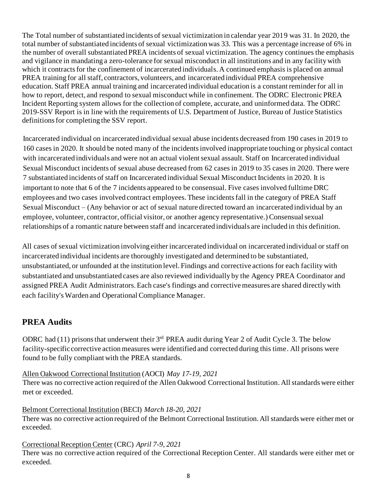The Total number of substantiated incidents of sexual victimization in calendar year 2019 was 31. In 2020, the total number of substantiated incidents of sexual victimization was 33. This was a percentage increase of 6% in the number of overall substantiated PREA incidents of sexual victimization. The agency continues the emphasis and vigilance in mandating a zero-tolerance for sexual misconduct in all institutions and in any facility with which it contracts for the confinement of incarcerated individuals. A continued emphasis is placed on annual PREA training for all staff, contractors, volunteers, and incarcerated individual PREA comprehensive education. Staff PREA annual training and incarcerated individual education is a constant reminder for all in how to report, detect, and respond to sexual misconduct while in confinement. The ODRC Electronic PREA Incident Reporting system allows for the collection of complete, accurate, and uninformed data. The ODRC 2019-SSV Report is in line with the requirements of U.S. Department of Justice, Bureau of Justice Statistics definitions for completing the SSV report.

Incarcerated individual on incarcerated individual sexual abuse incidents decreased from 190 cases in 2019 to 160 cases in 2020. It should be noted many of the incidents involved inappropriate touching or physical contact with incarcerated individuals and were not an actual violent sexual assault. Staff on Incarcerated individual Sexual Misconduct incidents of sexual abuse decreased from 62 cases in 2019 to 35 cases in 2020. There were 7 substantiated incidents of staff on Incarcerated individual Sexual Misconduct Incidents in 2020. It is important to note that 6 of the 7 incidents appeared to be consensual. Five cases involved fulltime DRC employees and two cases involved contract employees. These incidents fall in the category of PREA Staff Sexual Misconduct – (Any behavior or act of sexual nature directed toward an incarcerated individual by an employee, volunteer, contractor, official visitor, or another agency representative.) Consensual sexual relationships of a romantic nature between staff and incarcerated individuals are included in this definition.

All cases of sexual victimization involving either incarcerated individual on incarcerated individual or staff on incarcerated individual incidents are thoroughly investigated and determined to be substantiated, unsubstantiated, or unfounded at the institution level. Findings and corrective actions for each facility with substantiated and unsubstantiated cases are also reviewed individually by the Agency PREA Coordinator and assigned PREA Audit Administrators. Each case's findings and corrective measures are shared directly with each facility's Warden and Operational Compliance Manager.

## **PREA Audits**

ODRC had  $(11)$  prisons that underwent their  $3<sup>rd</sup>$  PREA audit during Year 2 of Audit Cycle 3. The below facility-specific corrective action measures were identified and corrected during this time. All prisons were found to be fully compliant with the PREA standards.

## Allen Oakwood Correctional Institution (AOCI) *May 17-19, 2021*

There was no corrective action required of the Allen Oakwood Correctional Institution. All standards were either met or exceeded.

## Belmont Correctional Institution (BECI) *March 18-20, 2021*

There was no corrective action required of the Belmont Correctional Institution. All standards were either met or exceeded.

#### Correctional Reception Center (CRC) *April 7-9, 2021*

There was no corrective action required of the Correctional Reception Center. All standards were either met or exceeded.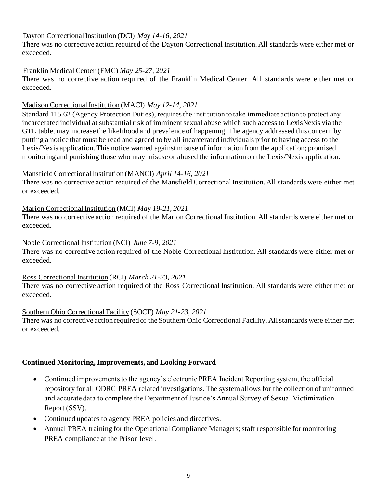### Dayton Correctional Institution (DCI) *May 14-16, 2021*

There was no corrective action required of the Dayton Correctional Institution. All standards were either met or exceeded.

### Franklin Medical Center (FMC) *May 25-27, 2021*

There was no corrective action required of the Franklin Medical Center. All standards were either met or exceeded.

#### Madison Correctional Institution (MACI) *May 12-14, 2021*

Standard 115.62 (Agency Protection Duties), requires the institution to take immediate action to protect any incarcerated individual at substantial risk of imminent sexual abuse which such access to LexisNexis via the GTL tablet may increase the likelihood and prevalence of happening. The agency addressed this concern by putting a notice that must be read and agreed to by all incarcerated individuals prior to having access to the Lexis/Nexis application. This notice warned against misuse of information from the application; promised monitoring and punishing those who may misuse or abused the information on the Lexis/Nexis application.

#### MansfieldCorrectional Institution (MANCI) *April 14-16, 2021*

There was no corrective action required of the Mansfield Correctional Institution. All standards were either met or exceeded.

#### Marion Correctional Institution (MCI) *May 19-21, 2021*

There was no corrective action required of the Marion Correctional Institution. All standards were either met or exceeded.

#### Noble Correctional Institution (NCI) *June 7-9, 2021*

There was no corrective action required of the Noble Correctional Institution. All standards were either met or exceeded.

#### Ross Correctional Institution (RCI) *March 21-23, 2021*

There was no corrective action required of the Ross Correctional Institution. All standards were either met or exceeded.

#### Southern Ohio Correctional Facility (SOCF) *May 21-23, 2021*

There was no corrective action required of the Southern Ohio Correctional Facility. All standards were either met or exceeded.

#### **Continued Monitoring, Improvements, and Looking Forward**

- Continued improvements to the agency's electronic PREA Incident Reporting system, the official repository for all ODRC PREA related investigations. The system allows for the collection of uniformed and accurate data to complete the Department of Justice's Annual Survey of Sexual Victimization Report (SSV).
- Continued updates to agency PREA policies and directives.
- Annual PREA training for the Operational Compliance Managers; staff responsible for monitoring PREA compliance at the Prison level.